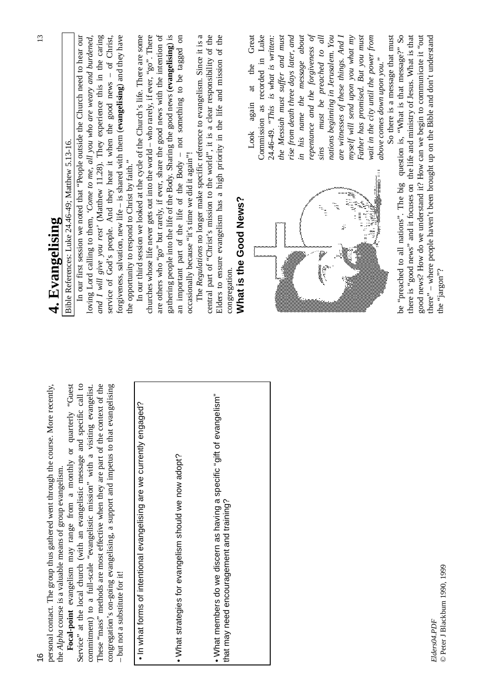| personal contact. The group thus gathered went through the course. More recently,                                                               | 4. Evangelising                                                                                                                                                        |
|-------------------------------------------------------------------------------------------------------------------------------------------------|------------------------------------------------------------------------------------------------------------------------------------------------------------------------|
| teu <sub>O</sub> .<br>Focal-point evangelism may range from a monthly or quarterly<br>the Alpha course is a valuable means of group evangelism. | Bible References: Luke 24.46-49; Matthew 5.13-16.                                                                                                                      |
| Service" at the local church (with an evangelistic message and specific call to                                                                 | In our first session we noted that "People outside the Church need to hear our                                                                                         |
| commitment) to a full-scale "evangelistic mission" with a visiting evangelist.                                                                  | loving Lord calling to them, 'Come to me, all you who are weary and burdened,                                                                                          |
| These "mass" methods are most effective when they are part of the context of the                                                                | and I will give you rest' (Matthew 11.28). They experience this in the caring<br>service of God's people. And they hear it when the good news - of Christ,             |
| congregation's on-going evangelising, a support and impetus to that evangelising<br>- but not a substitute for it!                              | forgiveness, salvation, new life – is shared with them (evangelising) and they have                                                                                    |
|                                                                                                                                                 | In our third session we looked at the cycle of the Church's life. There are some<br>the opportunity to respond to Christ by faith."                                    |
| . In what forms of intentional evangelising are we currently engaged?                                                                           | churches whose life never gets out into the world $-$ who rarely, if ever, "go". There                                                                                 |
|                                                                                                                                                 | are others who "go" but rarely, if ever, share the good news with the intention of                                                                                     |
|                                                                                                                                                 | gathering people into the life of the Body. Sharing the good news (evangelising) is                                                                                    |
| . What strategies for evangelism should we now adopt?                                                                                           | an important part of the life of the Body - not something to be tagged on                                                                                              |
|                                                                                                                                                 | occasionally because "it's time we did it again"!                                                                                                                      |
|                                                                                                                                                 | The Regulations no longer make specific reference to evangelism. Since it is a                                                                                         |
|                                                                                                                                                 | Elders to ensure evangelism has a high priority in the life and mission of the<br>central part of "Christ's mission to the world", it is a clear responsibility of the |
| • What members do we discern as having a specific "gift of evangelism"<br>that may need encouragement and training?                             |                                                                                                                                                                        |
|                                                                                                                                                 | What is the Good News?<br>congregation.                                                                                                                                |
|                                                                                                                                                 | Great<br>the<br>at<br>again<br>Look                                                                                                                                    |
|                                                                                                                                                 | Commission as recorded in Luke                                                                                                                                         |
|                                                                                                                                                 | 24.46-49. "This is what is written:                                                                                                                                    |
|                                                                                                                                                 | the Messiah must suffer and must                                                                                                                                       |
|                                                                                                                                                 | rise from death three days later, and                                                                                                                                  |
|                                                                                                                                                 | in his name the message about                                                                                                                                          |
|                                                                                                                                                 | repentance and the forgiveness of                                                                                                                                      |
|                                                                                                                                                 | must be preached to all<br>sins                                                                                                                                        |
|                                                                                                                                                 | nations beginning in Jerusalem. You<br>rigi                                                                                                                            |
|                                                                                                                                                 | are witnesses of these things. And I                                                                                                                                   |
|                                                                                                                                                 | myself will send upon you what my<br>È.<br>į                                                                                                                           |
|                                                                                                                                                 | Father has promised. But you must                                                                                                                                      |
|                                                                                                                                                 | wait in the city until the power from<br>WANDOO SA<br>3                                                                                                                |
|                                                                                                                                                 | above comes down upon you."                                                                                                                                            |
|                                                                                                                                                 | So there is a message that must                                                                                                                                        |
|                                                                                                                                                 | be "preached to all nations". The big question is, "What is that message?" So                                                                                          |
|                                                                                                                                                 | there is "good news" and it focuses on the life and ministry of Jesus. What is that                                                                                    |
|                                                                                                                                                 | good news? How do we understand it? How can we begin to communicate it "out                                                                                            |
| Elders04.PDF                                                                                                                                    | there" - where people haven't been brought up on the Bible and don't understand                                                                                        |
| © Peter J Blackburn 1990, 1999                                                                                                                  | the "jargon"?                                                                                                                                                          |

© Peter J Blackburn 1990, 1999

13

16